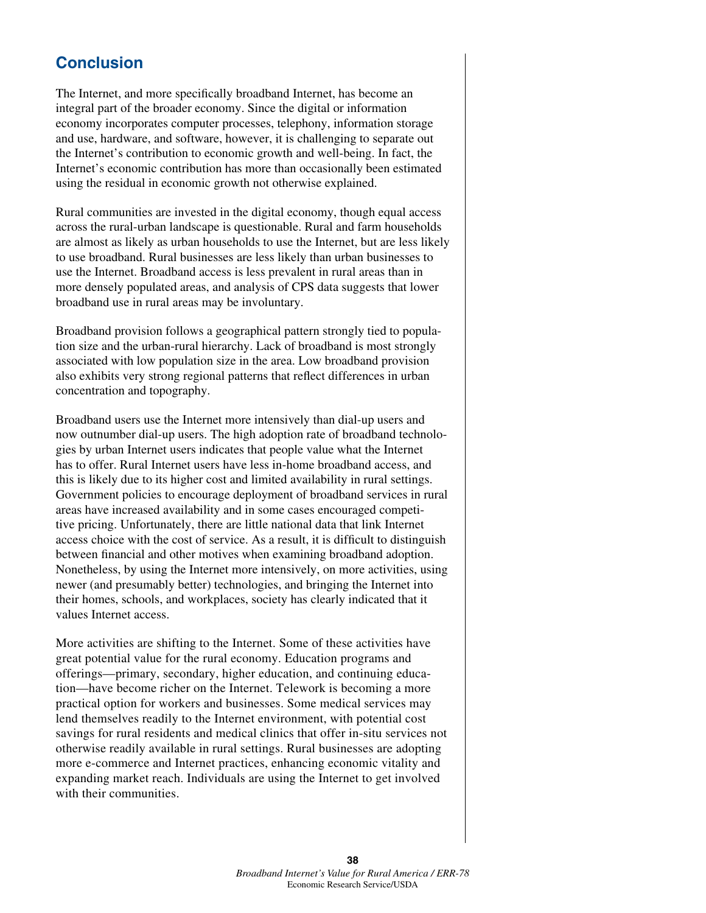## **Conclusion**

The Internet, and more specifically broadband Internet, has become an integral part of the broader economy. Since the digital or information economy incorporates computer processes, telephony, information storage and use, hardware, and software, however, it is challenging to separate out the Internet's contribution to economic growth and well-being. In fact, the Internet's economic contribution has more than occasionally been estimated using the residual in economic growth not otherwise explained.

Rural communities are invested in the digital economy, though equal access across the rural-urban landscape is questionable. Rural and farm households are almost as likely as urban households to use the Internet, but are less likely to use broadband. Rural businesses are less likely than urban businesses to use the Internet. Broadband access is less prevalent in rural areas than in more densely populated areas, and analysis of CPS data suggests that lower broadband use in rural areas may be involuntary.

Broadband provision follows a geographical pattern strongly tied to population size and the urban-rural hierarchy. Lack of broadband is most strongly associated with low population size in the area. Low broadband provision also exhibits very strong regional patterns that reflect differences in urban concentration and topography.

Broadband users use the Internet more intensively than dial-up users and now outnumber dial-up users. The high adoption rate of broadband technologies by urban Internet users indicates that people value what the Internet has to offer. Rural Internet users have less in-home broadband access, and this is likely due to its higher cost and limited availability in rural settings. Government policies to encourage deployment of broadband services in rural areas have increased availability and in some cases encouraged competitive pricing. Unfortunately, there are little national data that link Internet access choice with the cost of service. As a result, it is difficult to distinguish between financial and other motives when examining broadband adoption. Nonetheless, by using the Internet more intensively, on more activities, using newer (and presumably better) technologies, and bringing the Internet into their homes, schools, and workplaces, society has clearly indicated that it values Internet access.

More activities are shifting to the Internet. Some of these activities have great potential value for the rural economy. Education programs and offerings—primary, secondary, higher education, and continuing education—have become richer on the Internet. Telework is becoming a more practical option for workers and businesses. Some medical services may lend themselves readily to the Internet environment, with potential cost savings for rural residents and medical clinics that offer in-situ services not otherwise readily available in rural settings. Rural businesses are adopting more e-commerce and Internet practices, enhancing economic vitality and expanding market reach. Individuals are using the Internet to get involved with their communities.